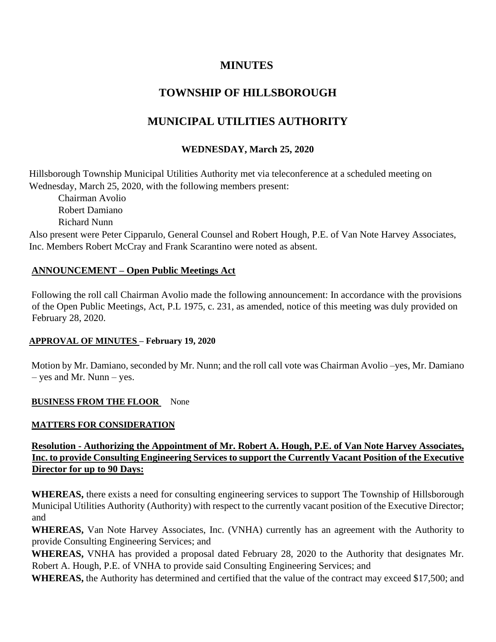# **MINUTES**

# **TOWNSHIP OF HILLSBOROUGH**

# **MUNICIPAL UTILITIES AUTHORITY**

# **WEDNESDAY, March 25, 2020**

Hillsborough Township Municipal Utilities Authority met via teleconference at a scheduled meeting on Wednesday, March 25, 2020, with the following members present:

Chairman Avolio Robert Damiano Richard Nunn Also present were Peter Cipparulo, General Counsel and Robert Hough, P.E. of Van Note Harvey Associates, Inc. Members Robert McCray and Frank Scarantino were noted as absent.

## **ANNOUNCEMENT – Open Public Meetings Act**

Following the roll call Chairman Avolio made the following announcement: In accordance with the provisions of the Open Public Meetings, Act, P.L 1975, c. 231, as amended, notice of this meeting was duly provided on February 28, 2020.

## **APPROVAL OF MINUTES – February 19, 2020**

Motion by Mr. Damiano, seconded by Mr. Nunn; and the roll call vote was Chairman Avolio –yes, Mr. Damiano – yes and Mr. Nunn – yes.

#### **BUSINESS FROM THE FLOOR** None

#### **MATTERS FOR CONSIDERATION**

# **Resolution - Authorizing the Appointment of Mr. Robert A. Hough, P.E. of Van Note Harvey Associates, Inc. to provide Consulting Engineering Services to support the Currently Vacant Position of the Executive Director for up to 90 Days:**

**WHEREAS,** there exists a need for consulting engineering services to support The Township of Hillsborough Municipal Utilities Authority (Authority) with respect to the currently vacant position of the Executive Director; and

**WHEREAS,** Van Note Harvey Associates, Inc. (VNHA) currently has an agreement with the Authority to provide Consulting Engineering Services; and

**WHEREAS,** VNHA has provided a proposal dated February 28, 2020 to the Authority that designates Mr. Robert A. Hough, P.E. of VNHA to provide said Consulting Engineering Services; and

**WHEREAS,** the Authority has determined and certified that the value of the contract may exceed \$17,500; and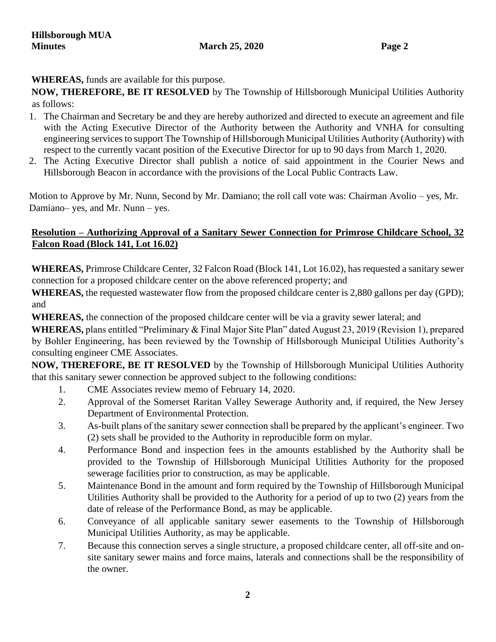**WHEREAS,** funds are available for this purpose.

**NOW, THEREFORE, BE IT RESOLVED** by The Township of Hillsborough Municipal Utilities Authority as follows:

- 1. The Chairman and Secretary be and they are hereby authorized and directed to execute an agreement and file with the Acting Executive Director of the Authority between the Authority and VNHA for consulting engineering services to support The Township of Hillsborough Municipal Utilities Authority (Authority) with respect to the currently vacant position of the Executive Director for up to 90 days from March 1, 2020.
- 2. The Acting Executive Director shall publish a notice of said appointment in the Courier News and Hillsborough Beacon in accordance with the provisions of the Local Public Contracts Law.

Motion to Approve by Mr. Nunn, Second by Mr. Damiano; the roll call vote was: Chairman Avolio – yes, Mr. Damiano– yes, and Mr. Nunn – yes.

# **Resolution – Authorizing Approval of a Sanitary Sewer Connection for Primrose Childcare School, 32 Falcon Road (Block 141, Lot 16.02)**

**WHEREAS,** Primrose Childcare Center, 32 Falcon Road (Block 141, Lot 16.02), has requested a sanitary sewer connection for a proposed childcare center on the above referenced property; and

**WHEREAS,** the requested wastewater flow from the proposed childcare center is 2,880 gallons per day (GPD); and

**WHEREAS,** the connection of the proposed childcare center will be via a gravity sewer lateral; and

**WHEREAS,** plans entitled "Preliminary & Final Major Site Plan" dated August 23, 2019 (Revision 1), prepared by Bohler Engineering, has been reviewed by the Township of Hillsborough Municipal Utilities Authority's consulting engineer CME Associates.

**NOW, THEREFORE, BE IT RESOLVED** by the Township of Hillsborough Municipal Utilities Authority that this sanitary sewer connection be approved subject to the following conditions:

- 1. CME Associates review memo of February 14, 2020.
- 2. Approval of the Somerset Raritan Valley Sewerage Authority and, if required, the New Jersey Department of Environmental Protection.
- 3. As-built plans of the sanitary sewer connection shall be prepared by the applicant's engineer. Two (2) sets shall be provided to the Authority in reproducible form on mylar.
- 4. Performance Bond and inspection fees in the amounts established by the Authority shall be provided to the Township of Hillsborough Municipal Utilities Authority for the proposed sewerage facilities prior to construction, as may be applicable.
- 5. Maintenance Bond in the amount and form required by the Township of Hillsborough Municipal Utilities Authority shall be provided to the Authority for a period of up to two (2) years from the date of release of the Performance Bond, as may be applicable.
- 6. Conveyance of all applicable sanitary sewer easements to the Township of Hillsborough Municipal Utilities Authority, as may be applicable.
- 7. Because this connection serves a single structure, a proposed childcare center, all off-site and onsite sanitary sewer mains and force mains, laterals and connections shall be the responsibility of the owner.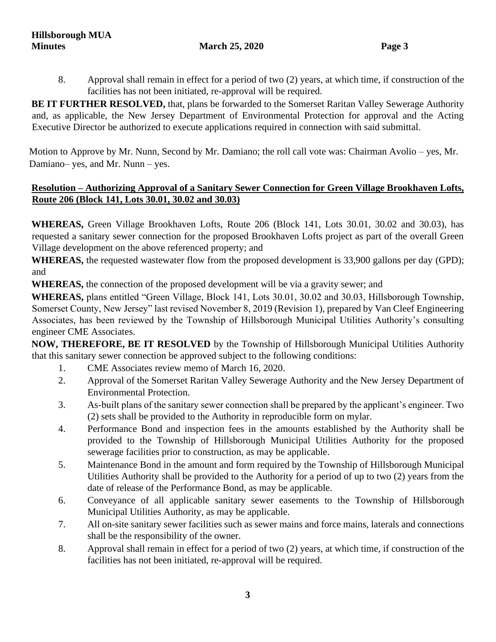8. Approval shall remain in effect for a period of two (2) years, at which time, if construction of the facilities has not been initiated, re-approval will be required.

**BE IT FURTHER RESOLVED,** that, plans be forwarded to the Somerset Raritan Valley Sewerage Authority and, as applicable, the New Jersey Department of Environmental Protection for approval and the Acting Executive Director be authorized to execute applications required in connection with said submittal.

Motion to Approve by Mr. Nunn, Second by Mr. Damiano; the roll call vote was: Chairman Avolio – yes, Mr. Damiano– yes, and Mr. Nunn – yes.

## **Resolution – Authorizing Approval of a Sanitary Sewer Connection for Green Village Brookhaven Lofts, Route 206 (Block 141, Lots 30.01, 30.02 and 30.03)**

**WHEREAS,** Green Village Brookhaven Lofts, Route 206 (Block 141, Lots 30.01, 30.02 and 30.03), has requested a sanitary sewer connection for the proposed Brookhaven Lofts project as part of the overall Green Village development on the above referenced property; and

**WHEREAS,** the requested wastewater flow from the proposed development is 33,900 gallons per day (GPD); and

**WHEREAS,** the connection of the proposed development will be via a gravity sewer; and

**WHEREAS,** plans entitled "Green Village, Block 141, Lots 30.01, 30.02 and 30.03, Hillsborough Township, Somerset County, New Jersey" last revised November 8, 2019 (Revision 1), prepared by Van Cleef Engineering Associates, has been reviewed by the Township of Hillsborough Municipal Utilities Authority's consulting engineer CME Associates.

**NOW, THEREFORE, BE IT RESOLVED** by the Township of Hillsborough Municipal Utilities Authority that this sanitary sewer connection be approved subject to the following conditions:

- 1. CME Associates review memo of March 16, 2020.
- 2. Approval of the Somerset Raritan Valley Sewerage Authority and the New Jersey Department of Environmental Protection.
- 3. As-built plans of the sanitary sewer connection shall be prepared by the applicant's engineer. Two (2) sets shall be provided to the Authority in reproducible form on mylar.
- 4. Performance Bond and inspection fees in the amounts established by the Authority shall be provided to the Township of Hillsborough Municipal Utilities Authority for the proposed sewerage facilities prior to construction, as may be applicable.
- 5. Maintenance Bond in the amount and form required by the Township of Hillsborough Municipal Utilities Authority shall be provided to the Authority for a period of up to two (2) years from the date of release of the Performance Bond, as may be applicable.
- 6. Conveyance of all applicable sanitary sewer easements to the Township of Hillsborough Municipal Utilities Authority, as may be applicable.
- 7. All on-site sanitary sewer facilities such as sewer mains and force mains, laterals and connections shall be the responsibility of the owner.
- 8. Approval shall remain in effect for a period of two (2) years, at which time, if construction of the facilities has not been initiated, re-approval will be required.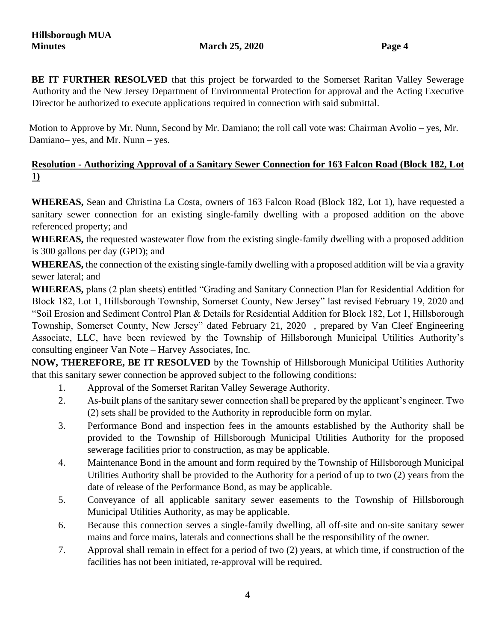BE IT FURTHER RESOLVED that this project be forwarded to the Somerset Raritan Valley Sewerage Authority and the New Jersey Department of Environmental Protection for approval and the Acting Executive Director be authorized to execute applications required in connection with said submittal.

Motion to Approve by Mr. Nunn, Second by Mr. Damiano; the roll call vote was: Chairman Avolio – yes, Mr. Damiano– yes, and Mr. Nunn – yes.

# **Resolution - Authorizing Approval of a Sanitary Sewer Connection for 163 Falcon Road (Block 182, Lot 1)**

**WHEREAS,** Sean and Christina La Costa, owners of 163 Falcon Road (Block 182, Lot 1), have requested a sanitary sewer connection for an existing single-family dwelling with a proposed addition on the above referenced property; and

**WHEREAS,** the requested wastewater flow from the existing single-family dwelling with a proposed addition is 300 gallons per day (GPD); and

**WHEREAS,** the connection of the existing single-family dwelling with a proposed addition will be via a gravity sewer lateral; and

**WHEREAS,** plans (2 plan sheets) entitled "Grading and Sanitary Connection Plan for Residential Addition for Block 182, Lot 1, Hillsborough Township, Somerset County, New Jersey" last revised February 19, 2020 and "Soil Erosion and Sediment Control Plan & Details for Residential Addition for Block 182, Lot 1, Hillsborough Township, Somerset County, New Jersey" dated February 21, 2020 , prepared by Van Cleef Engineering Associate, LLC, have been reviewed by the Township of Hillsborough Municipal Utilities Authority's consulting engineer Van Note – Harvey Associates, Inc.

**NOW, THEREFORE, BE IT RESOLVED** by the Township of Hillsborough Municipal Utilities Authority that this sanitary sewer connection be approved subject to the following conditions:

- 1. Approval of the Somerset Raritan Valley Sewerage Authority.
- 2. As-built plans of the sanitary sewer connection shall be prepared by the applicant's engineer. Two (2) sets shall be provided to the Authority in reproducible form on mylar.
- 3. Performance Bond and inspection fees in the amounts established by the Authority shall be provided to the Township of Hillsborough Municipal Utilities Authority for the proposed sewerage facilities prior to construction, as may be applicable.
- 4. Maintenance Bond in the amount and form required by the Township of Hillsborough Municipal Utilities Authority shall be provided to the Authority for a period of up to two (2) years from the date of release of the Performance Bond, as may be applicable.
- 5. Conveyance of all applicable sanitary sewer easements to the Township of Hillsborough Municipal Utilities Authority, as may be applicable.
- 6. Because this connection serves a single-family dwelling, all off-site and on-site sanitary sewer mains and force mains, laterals and connections shall be the responsibility of the owner.
- 7. Approval shall remain in effect for a period of two (2) years, at which time, if construction of the facilities has not been initiated, re-approval will be required.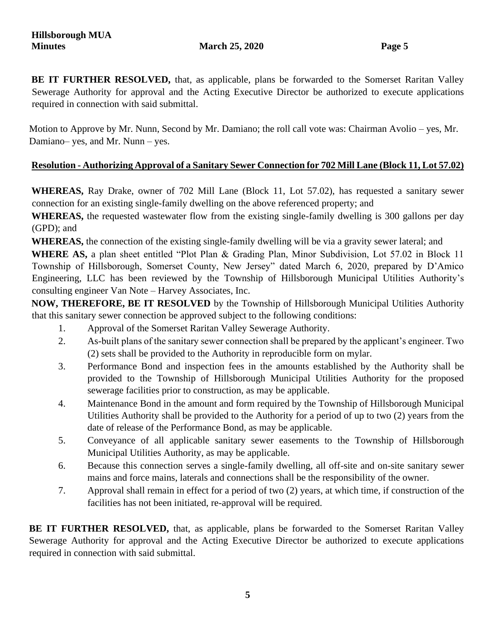**BE IT FURTHER RESOLVED,** that, as applicable, plans be forwarded to the Somerset Raritan Valley Sewerage Authority for approval and the Acting Executive Director be authorized to execute applications required in connection with said submittal.

Motion to Approve by Mr. Nunn, Second by Mr. Damiano; the roll call vote was: Chairman Avolio – yes, Mr. Damiano– yes, and Mr. Nunn – yes.

# **Resolution - Authorizing Approval of a Sanitary Sewer Connection for 702 Mill Lane (Block 11, Lot 57.02)**

**WHEREAS,** Ray Drake, owner of 702 Mill Lane (Block 11, Lot 57.02), has requested a sanitary sewer connection for an existing single-family dwelling on the above referenced property; and

**WHEREAS,** the requested wastewater flow from the existing single-family dwelling is 300 gallons per day (GPD); and

**WHEREAS,** the connection of the existing single-family dwelling will be via a gravity sewer lateral; and

**WHERE AS,** a plan sheet entitled "Plot Plan & Grading Plan, Minor Subdivision, Lot 57.02 in Block 11 Township of Hillsborough, Somerset County, New Jersey" dated March 6, 2020, prepared by D'Amico Engineering, LLC has been reviewed by the Township of Hillsborough Municipal Utilities Authority's consulting engineer Van Note – Harvey Associates, Inc.

**NOW, THEREFORE, BE IT RESOLVED** by the Township of Hillsborough Municipal Utilities Authority that this sanitary sewer connection be approved subject to the following conditions:

- 1. Approval of the Somerset Raritan Valley Sewerage Authority.
- 2. As-built plans of the sanitary sewer connection shall be prepared by the applicant's engineer. Two (2) sets shall be provided to the Authority in reproducible form on mylar.
- 3. Performance Bond and inspection fees in the amounts established by the Authority shall be provided to the Township of Hillsborough Municipal Utilities Authority for the proposed sewerage facilities prior to construction, as may be applicable.
- 4. Maintenance Bond in the amount and form required by the Township of Hillsborough Municipal Utilities Authority shall be provided to the Authority for a period of up to two (2) years from the date of release of the Performance Bond, as may be applicable.
- 5. Conveyance of all applicable sanitary sewer easements to the Township of Hillsborough Municipal Utilities Authority, as may be applicable.
- 6. Because this connection serves a single-family dwelling, all off-site and on-site sanitary sewer mains and force mains, laterals and connections shall be the responsibility of the owner.
- 7. Approval shall remain in effect for a period of two (2) years, at which time, if construction of the facilities has not been initiated, re-approval will be required.

**BE IT FURTHER RESOLVED,** that, as applicable, plans be forwarded to the Somerset Raritan Valley Sewerage Authority for approval and the Acting Executive Director be authorized to execute applications required in connection with said submittal.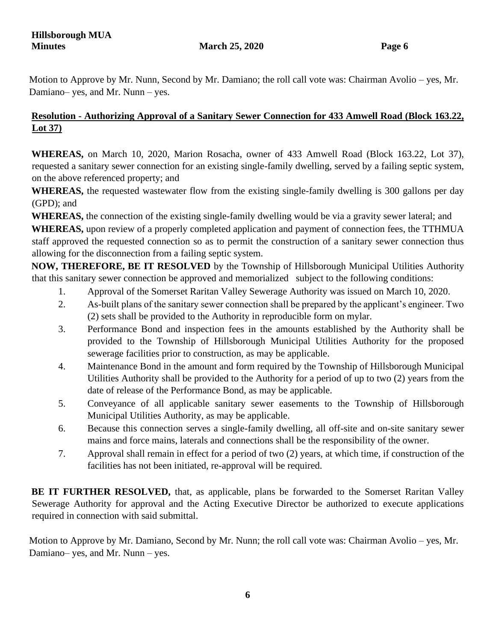Motion to Approve by Mr. Nunn, Second by Mr. Damiano; the roll call vote was: Chairman Avolio – yes, Mr. Damiano– yes, and Mr. Nunn – yes.

# **Resolution - Authorizing Approval of a Sanitary Sewer Connection for 433 Amwell Road (Block 163.22, Lot 37)**

**WHEREAS,** on March 10, 2020, Marion Rosacha, owner of 433 Amwell Road (Block 163.22, Lot 37), requested a sanitary sewer connection for an existing single-family dwelling, served by a failing septic system, on the above referenced property; and

**WHEREAS,** the requested wastewater flow from the existing single-family dwelling is 300 gallons per day (GPD); and

**WHEREAS,** the connection of the existing single-family dwelling would be via a gravity sewer lateral; and

**WHEREAS,** upon review of a properly completed application and payment of connection fees, the TTHMUA staff approved the requested connection so as to permit the construction of a sanitary sewer connection thus allowing for the disconnection from a failing septic system.

**NOW, THEREFORE, BE IT RESOLVED** by the Township of Hillsborough Municipal Utilities Authority that this sanitary sewer connection be approved and memorialized subject to the following conditions:

- 1. Approval of the Somerset Raritan Valley Sewerage Authority was issued on March 10, 2020.
- 2. As-built plans of the sanitary sewer connection shall be prepared by the applicant's engineer. Two (2) sets shall be provided to the Authority in reproducible form on mylar.
- 3. Performance Bond and inspection fees in the amounts established by the Authority shall be provided to the Township of Hillsborough Municipal Utilities Authority for the proposed sewerage facilities prior to construction, as may be applicable.
- 4. Maintenance Bond in the amount and form required by the Township of Hillsborough Municipal Utilities Authority shall be provided to the Authority for a period of up to two (2) years from the date of release of the Performance Bond, as may be applicable.
- 5. Conveyance of all applicable sanitary sewer easements to the Township of Hillsborough Municipal Utilities Authority, as may be applicable.
- 6. Because this connection serves a single-family dwelling, all off-site and on-site sanitary sewer mains and force mains, laterals and connections shall be the responsibility of the owner.
- 7. Approval shall remain in effect for a period of two (2) years, at which time, if construction of the facilities has not been initiated, re-approval will be required.

**BE IT FURTHER RESOLVED,** that, as applicable, plans be forwarded to the Somerset Raritan Valley Sewerage Authority for approval and the Acting Executive Director be authorized to execute applications required in connection with said submittal.

Motion to Approve by Mr. Damiano, Second by Mr. Nunn; the roll call vote was: Chairman Avolio – yes, Mr. Damiano– yes, and Mr. Nunn – yes.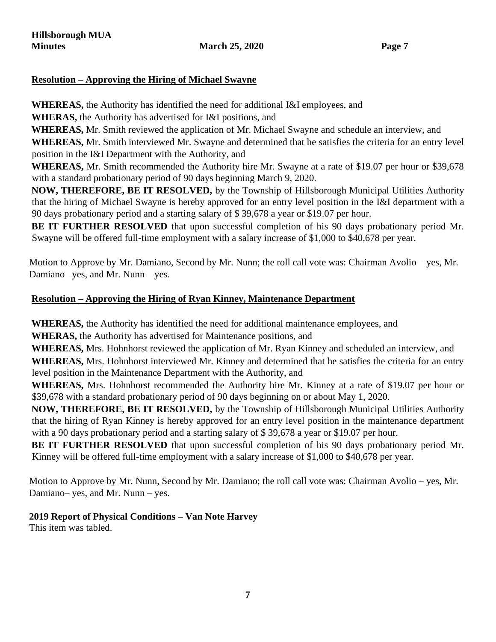## **Resolution – Approving the Hiring of Michael Swayne**

**WHEREAS,** the Authority has identified the need for additional I&I employees, and

**WHERAS,** the Authority has advertised for I&I positions, and

**WHEREAS,** Mr. Smith reviewed the application of Mr. Michael Swayne and schedule an interview, and **WHEREAS,** Mr. Smith interviewed Mr. Swayne and determined that he satisfies the criteria for an entry level position in the I&I Department with the Authority, and

**WHEREAS,** Mr. Smith recommended the Authority hire Mr. Swayne at a rate of \$19.07 per hour or \$39,678 with a standard probationary period of 90 days beginning March 9, 2020.

**NOW, THEREFORE, BE IT RESOLVED,** by the Township of Hillsborough Municipal Utilities Authority that the hiring of Michael Swayne is hereby approved for an entry level position in the I&I department with a 90 days probationary period and a starting salary of \$ 39,678 a year or \$19.07 per hour.

**BE IT FURTHER RESOLVED** that upon successful completion of his 90 days probationary period Mr. Swayne will be offered full-time employment with a salary increase of \$1,000 to \$40,678 per year.

Motion to Approve by Mr. Damiano, Second by Mr. Nunn; the roll call vote was: Chairman Avolio – yes, Mr. Damiano– yes, and Mr. Nunn – yes.

# **Resolution – Approving the Hiring of Ryan Kinney, Maintenance Department**

**WHEREAS,** the Authority has identified the need for additional maintenance employees, and

**WHERAS,** the Authority has advertised for Maintenance positions, and

**WHEREAS,** Mrs. Hohnhorst reviewed the application of Mr. Ryan Kinney and scheduled an interview, and

**WHEREAS,** Mrs. Hohnhorst interviewed Mr. Kinney and determined that he satisfies the criteria for an entry level position in the Maintenance Department with the Authority, and

**WHEREAS,** Mrs. Hohnhorst recommended the Authority hire Mr. Kinney at a rate of \$19.07 per hour or \$39,678 with a standard probationary period of 90 days beginning on or about May 1, 2020.

**NOW, THEREFORE, BE IT RESOLVED,** by the Township of Hillsborough Municipal Utilities Authority that the hiring of Ryan Kinney is hereby approved for an entry level position in the maintenance department with a 90 days probationary period and a starting salary of \$39,678 a year or \$19.07 per hour.

**BE IT FURTHER RESOLVED** that upon successful completion of his 90 days probationary period Mr. Kinney will be offered full-time employment with a salary increase of \$1,000 to \$40,678 per year.

Motion to Approve by Mr. Nunn, Second by Mr. Damiano; the roll call vote was: Chairman Avolio – yes, Mr. Damiano– yes, and Mr. Nunn – yes.

# **2019 Report of Physical Conditions – Van Note Harvey**

This item was tabled.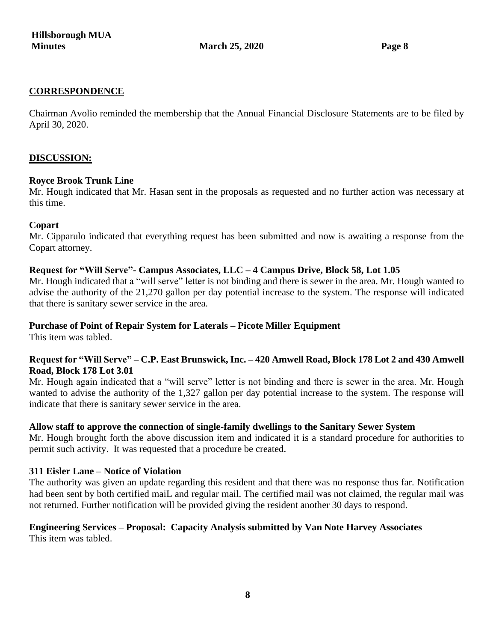#### **CORRESPONDENCE**

Chairman Avolio reminded the membership that the Annual Financial Disclosure Statements are to be filed by April 30, 2020.

#### **DISCUSSION:**

#### **Royce Brook Trunk Line**

Mr. Hough indicated that Mr. Hasan sent in the proposals as requested and no further action was necessary at this time.

#### **Copart**

Mr. Cipparulo indicated that everything request has been submitted and now is awaiting a response from the Copart attorney.

#### **Request for "Will Serve"- Campus Associates, LLC – 4 Campus Drive, Block 58, Lot 1.05**

Mr. Hough indicated that a "will serve" letter is not binding and there is sewer in the area. Mr. Hough wanted to advise the authority of the 21,270 gallon per day potential increase to the system. The response will indicated that there is sanitary sewer service in the area.

#### **Purchase of Point of Repair System for Laterals – Picote Miller Equipment**

This item was tabled.

#### **Request for "Will Serve" – C.P. East Brunswick, Inc. – 420 Amwell Road, Block 178 Lot 2 and 430 Amwell Road, Block 178 Lot 3.01**

Mr. Hough again indicated that a "will serve" letter is not binding and there is sewer in the area. Mr. Hough wanted to advise the authority of the 1,327 gallon per day potential increase to the system. The response will indicate that there is sanitary sewer service in the area.

#### **Allow staff to approve the connection of single-family dwellings to the Sanitary Sewer System**

Mr. Hough brought forth the above discussion item and indicated it is a standard procedure for authorities to permit such activity. It was requested that a procedure be created.

#### **311 Eisler Lane – Notice of Violation**

The authority was given an update regarding this resident and that there was no response thus far. Notification had been sent by both certified maiL and regular mail. The certified mail was not claimed, the regular mail was not returned. Further notification will be provided giving the resident another 30 days to respond.

#### **Engineering Services – Proposal: Capacity Analysis submitted by Van Note Harvey Associates**  This item was tabled.